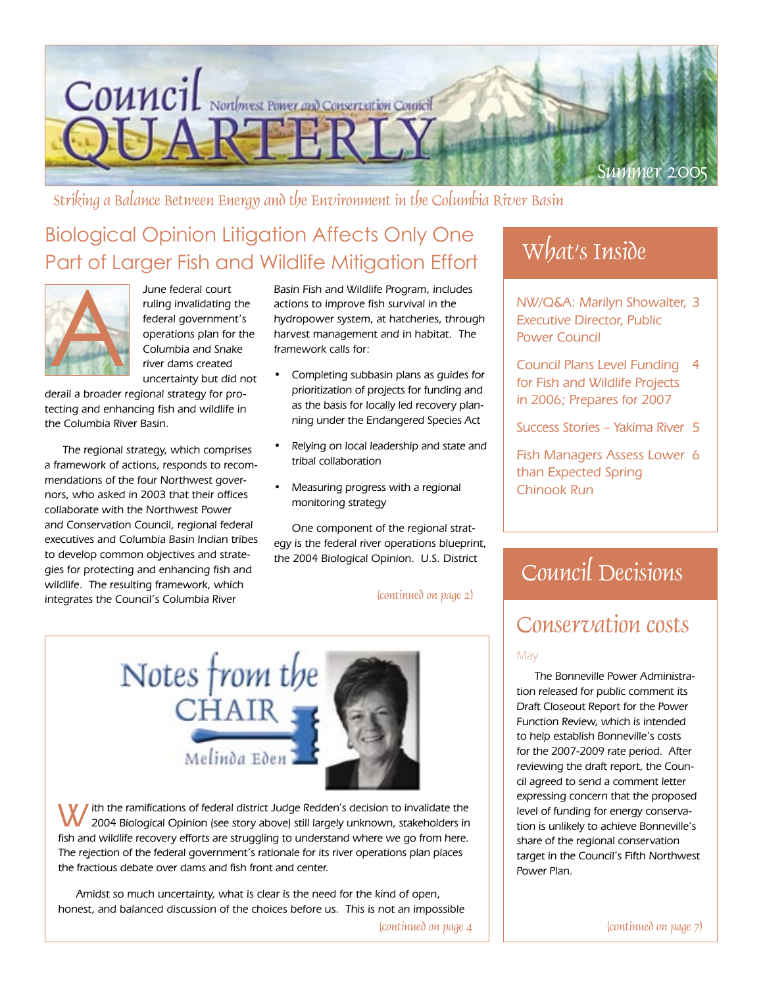

Striking a Balance Between Energy and the Environment in the Columbia River Basin

# Biological Opinion Litigation Affects Only One Part of Larger Fish and Wildlife Mitigation Effort



June federal court ruling invalidating the federal government's operations plan for the Columbia and Snake river dams created uncertainty but did not

derail a broader regional strategy for protecting and enhancing fish and wildlife in the Columbia River Basin.

The regional strategy, which comprises a framework of actions, responds to recommendations of the four Northwest governors, who asked in 2003 that their offices collaborate with the Northwest Power and Conservation Council, regional federal executives and Columbia Basin Indian tribes to develop common objectives and strategies for protecting and enhancing fish and wildlife. The resulting framework, which integrates the Council's Columbia River

Basin Fish and Wildlife Program, includes actions to improve fish survival in the hydropower system, at hatcheries, through harvest management and in habitat. The framework calls for:

- Completing subbasin plans as guides for prioritization of projects for funding and as the basis for locally led recovery planning under the Endangered Species Act
- Relying on local leadership and state and tribal collaboration
- Measuring progress with a regional monitoring strategy

One component of the regional strategy is the federal river operations blueprint, the 2004 Biological Opinion. U.S. District

(continued on page 2)



I ith the ramifications of federal district Judge Redden's decision to invalidate the 2004 Biological Opinion (see story above) still largely unknown, stakeholders in fish and wildlife recovery efforts are struggling to understand where we go from here. The rejection of the federal government's rationale for its river operations plan places the fractious debate over dams and fish front and center.

Amidst so much uncertainty, what is clear is the need for the kind of open, honest, and balanced discussion of the choices before us. This is not an impossible

 $\lvert$  (continued on page 4  $\lvert$   $\lvert$   $\lvert$   $\lvert$   $\lvert$   $\lvert$   $\lvert$   $\lvert$   $\lvert$   $\lvert$   $\lvert$   $\lvert$   $\lvert$   $\lvert$   $\lvert$   $\lvert$   $\lvert$   $\lvert$   $\lvert$   $\lvert$   $\lvert$   $\lvert$   $\lvert$   $\lvert$   $\lvert$   $\lvert$   $\lvert$   $\lvert$   $\lvert$   $\lvert$   $\lvert$   $\lvert$   $\$ 

# What's Inside

NW/Q&A: Marilyn Showalter, 3 Executive Director, Public Power Council

- Council Plans Level Funding 4 for Fish and Wildlife Projects in 2006; Prepares for 2007
- Success Stories Yakima River 5

Fish Managers Assess Lower 6 than Expected Spring Chinook Run

# Council Decisions

### Conservation costs

#### May

The Bonneville Power Administration released for public comment its Draft Closeout Report for the Power Function Review, which is intended to help establish Bonneville's costs for the 2007-2009 rate period. After reviewing the draft report, the Council agreed to send a comment letter expressing concern that the proposed level of funding for energy conservation is unlikely to achieve Bonneville's share of the regional conservation target in the Council's Fifth Northwest Power Plan.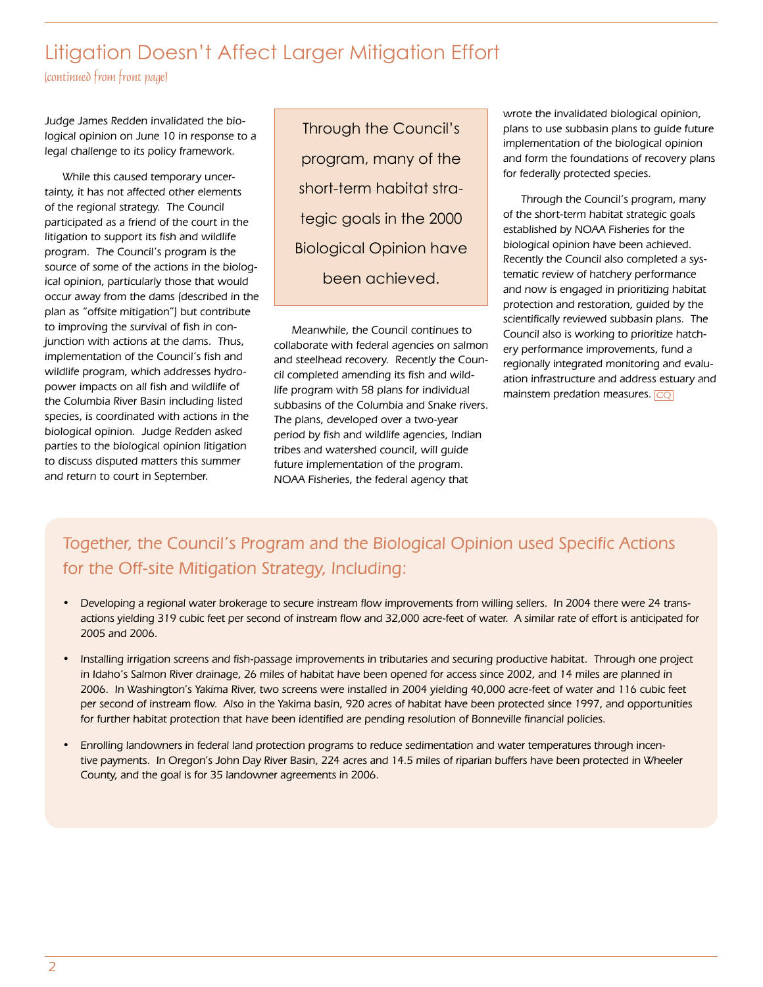### Litigation Doesn't Affect Larger Mitigation Effort

(continued from front page)

Judge James Redden invalidated the biological opinion on June 10 in response to a legal challenge to its policy framework.

While this caused temporary uncertainty, it has not affected other elements of the regional strategy. The Council participated as a friend of the court in the litigation to support its fish and wildlife program. The Council's program is the source of some of the actions in the biological opinion, particularly those that would occur away from the dams (described in the plan as "offsite mitigation") but contribute to improving the survival of fish in conjunction with actions at the dams. Thus, implementation of the Council's fish and wildlife program, which addresses hydropower impacts on all fish and wildlife of the Columbia River Basin including listed species, is coordinated with actions in the biological opinion. Judge Redden asked parties to the biological opinion litigation to discuss disputed matters this summer and return to court in September.

Through the Council's program, many of the short-term habitat strategic goals in the 2000 Biological Opinion have been achieved.

Meanwhile, the Council continues to collaborate with federal agencies on salmon and steelhead recovery. Recently the Council completed amending its fish and wildlife program with 58 plans for individual subbasins of the Columbia and Snake rivers. The plans, developed over a two-year period by fish and wildlife agencies, Indian tribes and watershed council, will guide future implementation of the program. NOAA Fisheries, the federal agency that

wrote the invalidated biological opinion, plans to use subbasin plans to guide future implementation of the biological opinion and form the foundations of recovery plans for federally protected species.

Through the Council's program, many of the short-term habitat strategic goals established by NOAA Fisheries for the biological opinion have been achieved. Recently the Council also completed a systematic review of hatchery performance and now is engaged in prioritizing habitat protection and restoration, guided by the scientifically reviewed subbasin plans. The Council also is working to prioritize hatchery performance improvements, fund a regionally integrated monitoring and evaluation infrastructure and address estuary and mainstem predation measures. CQ

### Together, the Council's Program and the Biological Opinion used Specific Actions for the Off-site Mitigation Strategy, Including:

- Developing a regional water brokerage to secure instream flow improvements from willing sellers. In 2004 there were 24 transactions yielding 319 cubic feet per second of instream flow and 32,000 acre-feet of water. A similar rate of effort is anticipated for 2005 and 2006.
- Installing irrigation screens and fish-passage improvements in tributaries and securing productive habitat. Through one project in Idaho's Salmon River drainage, 26 miles of habitat have been opened for access since 2002, and 14 miles are planned in 2006. In Washington's Yakima River, two screens were installed in 2004 yielding 40,000 acre-feet of water and 116 cubic feet per second of instream flow. Also in the Yakima basin, 920 acres of habitat have been protected since 1997, and opportunities for further habitat protection that have been identified are pending resolution of Bonneville financial policies.
- Enrolling landowners in federal land protection programs to reduce sedimentation and water temperatures through incentive payments. In Oregon's John Day River Basin, 224 acres and 14.5 miles of riparian buffers have been protected in Wheeler County, and the goal is for 35 landowner agreements in 2006.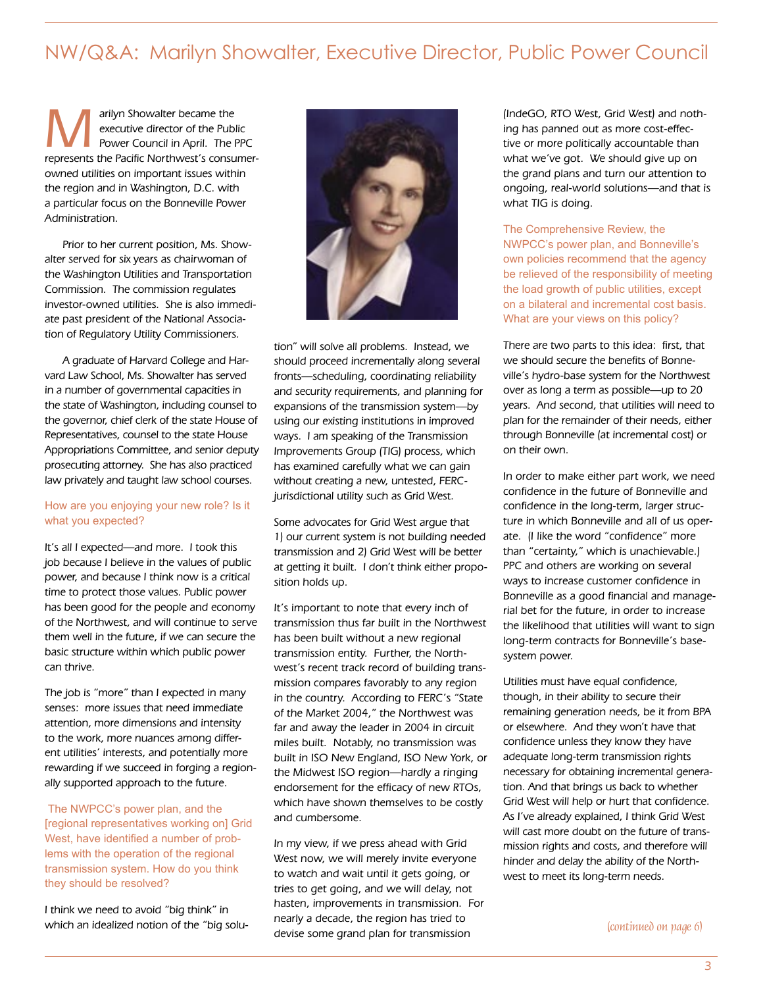### NW/Q&A: Marilyn Showalter, Executive Director, Public Power Council

arilyn Showalter became the<br>
executive director of the Public<br>
Power Council in April. The PPC executive director of the Public represents the Pacific Northwest's consumerowned utilities on important issues within the region and in Washington, D.C. with a particular focus on the Bonneville Power Administration.

Prior to her current position, Ms. Showalter served for six years as chairwoman of the Washington Utilities and Transportation Commission. The commission regulates investor-owned utilities. She is also immediate past president of the National Association of Regulatory Utility Commissioners.

A graduate of Harvard College and Harvard Law School, Ms. Showalter has served in a number of governmental capacities in the state of Washington, including counsel to the governor, chief clerk of the state House of Representatives, counsel to the state House Appropriations Committee, and senior deputy prosecuting attorney. She has also practiced law privately and taught law school courses.

#### How are you enjoying your new role? Is it what you expected?

It's all I expected—and more. I took this job because I believe in the values of public power, and because I think now is a critical time to protect those values. Public power has been good for the people and economy of the Northwest, and will continue to serve them well in the future, if we can secure the basic structure within which public power can thrive.

The job is "more" than I expected in many senses: more issues that need immediate attention, more dimensions and intensity to the work, more nuances among different utilities' interests, and potentially more rewarding if we succeed in forging a regionally supported approach to the future.

The NWPCC's power plan, and the [regional representatives working on] Grid West, have identified a number of problems with the operation of the regional transmission system. How do you think they should be resolved?

I think we need to avoid "big think" in which an idealized notion of the "big solu-



tion" will solve all problems. Instead, we should proceed incrementally along several fronts—scheduling, coordinating reliability and security requirements, and planning for expansions of the transmission system—by using our existing institutions in improved ways. I am speaking of the Transmission Improvements Group (TIG) process, which has examined carefully what we can gain without creating a new, untested, FERCjurisdictional utility such as Grid West.

Some advocates for Grid West argue that 1) our current system is not building needed transmission and 2) Grid West will be better at getting it built. I don't think either proposition holds up.

It's important to note that every inch of transmission thus far built in the Northwest has been built without a new regional transmission entity. Further, the Northwest's recent track record of building transmission compares favorably to any region in the country. According to FERC's "State of the Market 2004," the Northwest was far and away the leader in 2004 in circuit miles built. Notably, no transmission was built in ISO New England, ISO New York, or the Midwest ISO region—hardly a ringing endorsement for the efficacy of new RTOs, which have shown themselves to be costly and cumbersome.

In my view, if we press ahead with Grid West now, we will merely invite everyone to watch and wait until it gets going, or tries to get going, and we will delay, not hasten, improvements in transmission. For nearly a decade, the region has tried to devise some grand plan for transmission

(IndeGO, RTO West, Grid West) and nothing has panned out as more cost-effective or more politically accountable than what we've got. We should give up on the grand plans and turn our attention to ongoing, real-world solutions—and that is what TIG is doing.

### The Comprehensive Review, the NWPCC's power plan, and Bonneville's own policies recommend that the agency be relieved of the responsibility of meeting the load growth of public utilities, except on a bilateral and incremental cost basis. What are your views on this policy?

There are two parts to this idea: first, that we should secure the benefits of Bonneville's hydro-base system for the Northwest over as long a term as possible—up to 20 years. And second, that utilities will need to plan for the remainder of their needs, either through Bonneville (at incremental cost) or on their own.

In order to make either part work, we need confidence in the future of Bonneville and confidence in the long-term, larger structure in which Bonneville and all of us operate. (I like the word "confidence" more than "certainty," which is unachievable.) PPC and others are working on several ways to increase customer confidence in Bonneville as a good financial and managerial bet for the future, in order to increase the likelihood that utilities will want to sign long-term contracts for Bonneville's basesystem power.

Utilities must have equal confidence, though, in their ability to secure their remaining generation needs, be it from BPA or elsewhere. And they won't have that confidence unless they know they have adequate long-term transmission rights necessary for obtaining incremental generation. And that brings us back to whether Grid West will help or hurt that confidence. As I've already explained, I think Grid West will cast more doubt on the future of transmission rights and costs, and therefore will hinder and delay the ability of the Northwest to meet its long-term needs.

(continued on page 6)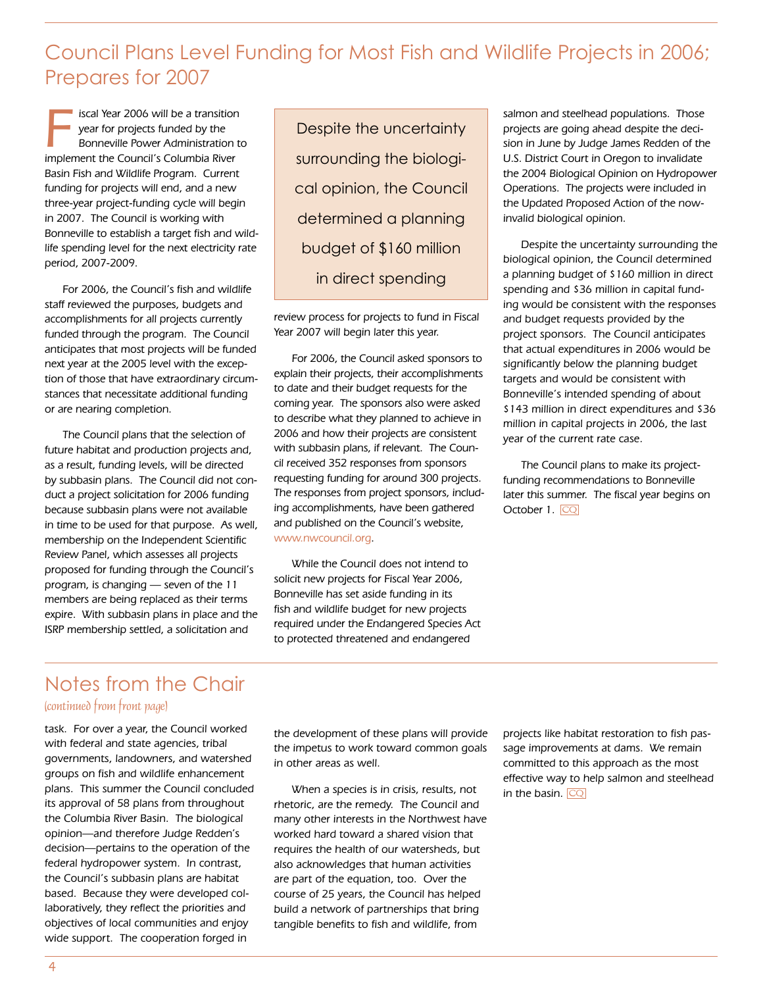### Council Plans Level Funding for Most Fish and Wildlife Projects in 2006; Prepares for 2007

Iscal Year 2006 will be a transition<br>
year for projects funded by the<br>
Bonneville Power Administration to<br>
Implement the Council's Columbia Biver year for projects funded by the implement the Council's Columbia River Basin Fish and Wildlife Program. Current funding for projects will end, and a new three-year project-funding cycle will begin in 2007. The Council is working with Bonneville to establish a target fish and wildlife spending level for the next electricity rate period, 2007-2009.

For 2006, the Council's fish and wildlife staff reviewed the purposes, budgets and accomplishments for all projects currently funded through the program. The Council anticipates that most projects will be funded next year at the 2005 level with the exception of those that have extraordinary circumstances that necessitate additional funding or are nearing completion.

The Council plans that the selection of future habitat and production projects and, as a result, funding levels, will be directed by subbasin plans. The Council did not conduct a project solicitation for 2006 funding because subbasin plans were not available in time to be used for that purpose. As well, membership on the Independent Scientific Review Panel, which assesses all projects proposed for funding through the Council's program, is changing — seven of the 11 members are being replaced as their terms expire. With subbasin plans in place and the ISRP membership settled, a solicitation and

Despite the uncertainty surrounding the biological opinion, the Council determined a planning budget of \$160 million in direct spending

review process for projects to fund in Fiscal Year 2007 will begin later this year.

For 2006, the Council asked sponsors to explain their projects, their accomplishments to date and their budget requests for the coming year. The sponsors also were asked to describe what they planned to achieve in 2006 and how their projects are consistent with subbasin plans, if relevant. The Council received 352 responses from sponsors requesting funding for around 300 projects. The responses from project sponsors, including accomplishments, have been gathered and published on the Council's website, www.nwcouncil.org.

While the Council does not intend to solicit new projects for Fiscal Year 2006, Bonneville has set aside funding in its fish and wildlife budget for new projects required under the Endangered Species Act to protected threatened and endangered

salmon and steelhead populations. Those projects are going ahead despite the decision in June by Judge James Redden of the U.S. District Court in Oregon to invalidate the 2004 Biological Opinion on Hydropower Operations. The projects were included in the Updated Proposed Action of the nowinvalid biological opinion.

Despite the uncertainty surrounding the biological opinion, the Council determined a planning budget of \$160 million in direct spending and \$36 million in capital funding would be consistent with the responses and budget requests provided by the project sponsors. The Council anticipates that actual expenditures in 2006 would be significantly below the planning budget targets and would be consistent with Bonneville's intended spending of about \$143 million in direct expenditures and \$36 million in capital projects in 2006, the last year of the current rate case.

The Council plans to make its projectfunding recommendations to Bonneville later this summer. The fiscal year begins on October 1. CQ

# Notes from the Chair

(continued from front page)

task. For over a year, the Council worked with federal and state agencies, tribal governments, landowners, and watershed groups on fish and wildlife enhancement plans. This summer the Council concluded its approval of 58 plans from throughout the Columbia River Basin. The biological opinion—and therefore Judge Redden's decision—pertains to the operation of the federal hydropower system. In contrast, the Council's subbasin plans are habitat based. Because they were developed collaboratively, they reflect the priorities and objectives of local communities and enjoy wide support. The cooperation forged in

the development of these plans will provide the impetus to work toward common goals in other areas as well.

When a species is in crisis, results, not rhetoric, are the remedy. The Council and many other interests in the Northwest have worked hard toward a shared vision that requires the health of our watersheds, but also acknowledges that human activities are part of the equation, too. Over the course of 25 years, the Council has helped build a network of partnerships that bring tangible benefits to fish and wildlife, from

projects like habitat restoration to fish passage improvements at dams. We remain committed to this approach as the most effective way to help salmon and steelhead in the basin.  $\overline{\text{CQ}}$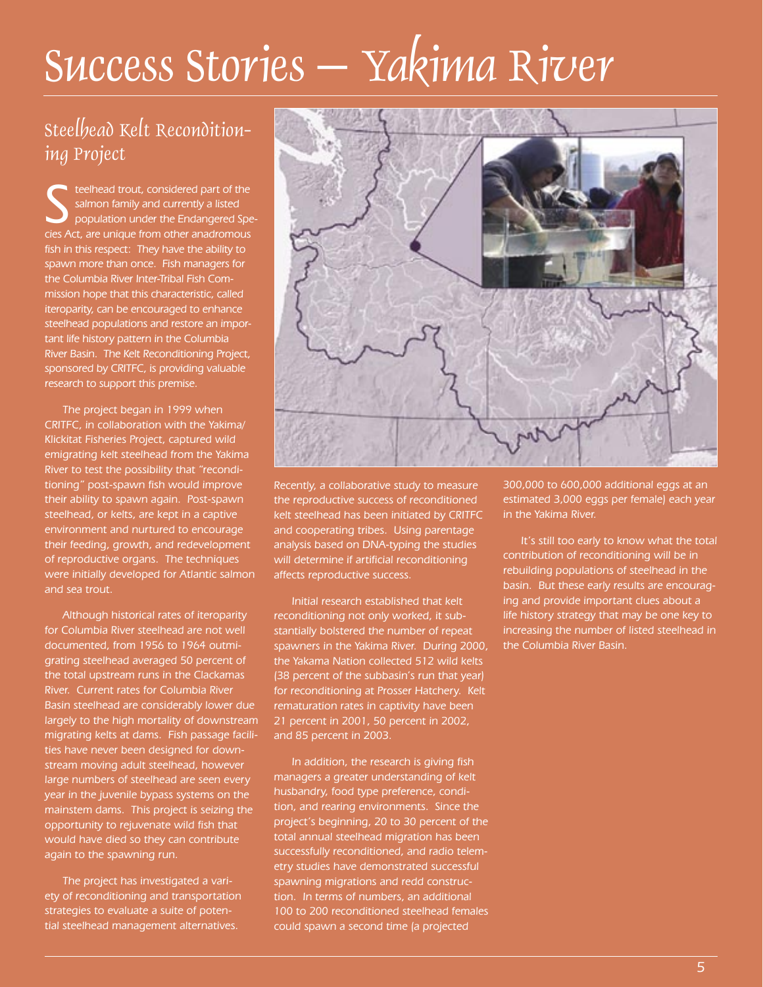# Success Stories – Yakima River

### Steelhead Kelt Reconditioning Project

steelhead trout, considered part of the<br>
salmon family and currently a listed<br>
population under the Endangered Spe-<br>
sign of a are unique from other anadromous salmon family and currently a listed cies Act, are unique from other anadromous fish in this respect: They have the ability to spawn more than once. Fish managers for the Columbia River Inter-Tribal Fish Commission hope that this characteristic, called iteroparity, can be encouraged to enhance steelhead populations and restore an important life history pattern in the Columbia River Basin. The Kelt Reconditioning Project, sponsored by CRITFC, is providing valuable research to support this premise.

The project began in 1999 when CRITFC, in collaboration with the Yakima/ Klickitat Fisheries Project, captured wild emigrating kelt steelhead from the Yakima River to test the possibility that "reconditioning" post-spawn fish would improve their ability to spawn again. Post-spawn steelhead, or kelts, are kept in a captive environment and nurtured to encourage their feeding, growth, and redevelopment of reproductive organs. The techniques were initially developed for Atlantic salmon and sea trout.

Although historical rates of iteroparity for Columbia River steelhead are not well documented, from 1956 to 1964 outmigrating steelhead averaged 50 percent of the total upstream runs in the Clackamas River. Current rates for Columbia River Basin steelhead are considerably lower due largely to the high mortality of downstream migrating kelts at dams. Fish passage facilities have never been designed for downstream moving adult steelhead, however large numbers of steelhead are seen every year in the juvenile bypass systems on the mainstem dams. This project is seizing the opportunity to rejuvenate wild fish that would have died so they can contribute again to the spawning run.

The project has investigated a variety of reconditioning and transportation strategies to evaluate a suite of potential steelhead management alternatives.



Recently, a collaborative study to measure the reproductive success of reconditioned kelt steelhead has been initiated by CRITFC and cooperating tribes. Using parentage analysis based on DNA-typing the studies will determine if artificial reconditioning affects reproductive success.

Initial research established that kelt reconditioning not only worked, it substantially bolstered the number of repeat spawners in the Yakima River. During 2000, the Yakama Nation collected 512 wild kelts (38 percent of the subbasin's run that year) for reconditioning at Prosser Hatchery. Kelt rematuration rates in captivity have been 21 percent in 2001, 50 percent in 2002, and 85 percent in 2003.

In addition, the research is giving fish managers a greater understanding of kelt husbandry, food type preference, condition, and rearing environments. Since the project's beginning, 20 to 30 percent of the total annual steelhead migration has been successfully reconditioned, and radio telemetry studies have demonstrated successful spawning migrations and redd construction. In terms of numbers, an additional 100 to 200 reconditioned steelhead females could spawn a second time (a projected

300,000 to 600,000 additional eggs at an estimated 3,000 eggs per female) each year in the Yakima River.

It's still too early to know what the total contribution of reconditioning will be in rebuilding populations of steelhead in the basin. But these early results are encouraging and provide important clues about a life history strategy that may be one key to increasing the number of listed steelhead in the Columbia River Basin.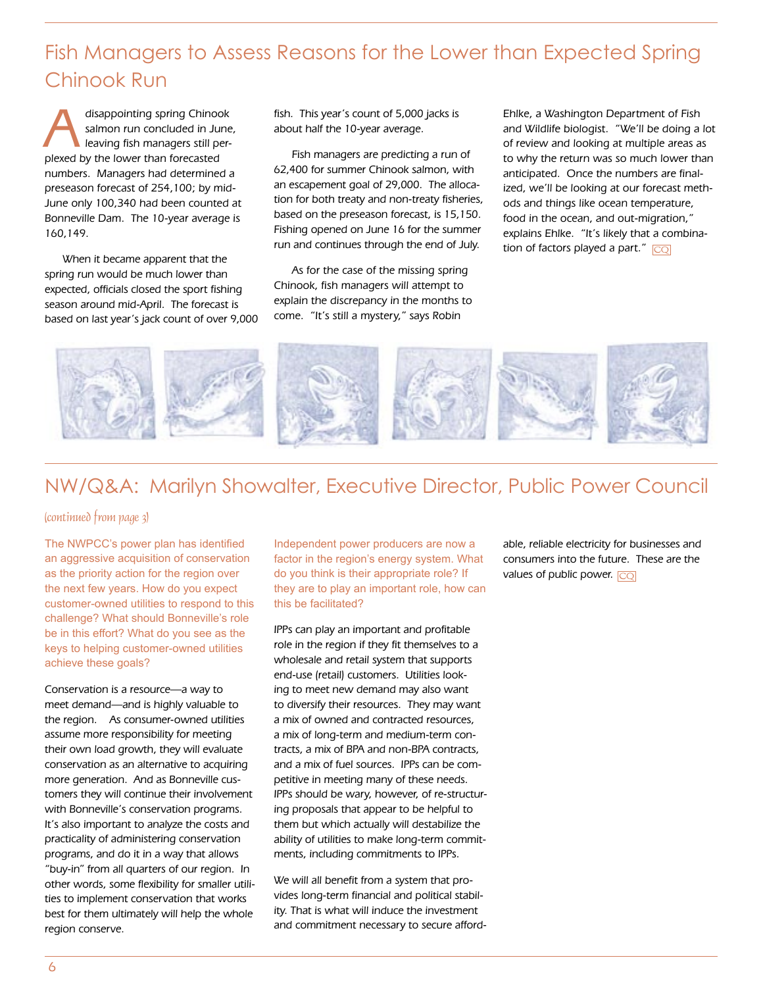### Fish Managers to Assess Reasons for the Lower than Expected Spring Chinook Run

disappointing spring Chinook<br>
salmon run concluded in June<br>
leaving fish managers still persalmon run concluded in June, plexed by the lower than forecasted numbers. Managers had determined a preseason forecast of 254,100; by mid-June only 100,340 had been counted at Bonneville Dam. The 10-year average is 160,149.

When it became apparent that the spring run would be much lower than expected, officials closed the sport fishing season around mid-April. The forecast is based on last year's jack count of over 9,000 fish. This year's count of 5,000 jacks is about half the 10-year average.

Fish managers are predicting a run of 62,400 for summer Chinook salmon, with an escapement goal of 29,000. The allocation for both treaty and non-treaty fisheries, based on the preseason forecast, is 15,150. Fishing opened on June 16 for the summer run and continues through the end of July.

As for the case of the missing spring Chinook, fish managers will attempt to explain the discrepancy in the months to come. "It's still a mystery," says Robin

Ehlke, a Washington Department of Fish and Wildlife biologist. "We'll be doing a lot of review and looking at multiple areas as to why the return was so much lower than anticipated. Once the numbers are finalized, we'll be looking at our forecast methods and things like ocean temperature, food in the ocean, and out-migration," explains Ehlke. "It's likely that a combination of factors played a part."  $\boxed{CQ}$ 



### NW/Q&A: Marilyn Showalter, Executive Director, Public Power Council

#### (continued from page 3)

The NWPCC's power plan has identified an aggressive acquisition of conservation as the priority action for the region over the next few years. How do you expect customer-owned utilities to respond to this challenge? What should Bonneville's role be in this effort? What do you see as the keys to helping customer-owned utilities achieve these goals?

Conservation is a resource—a way to meet demand—and is highly valuable to the region. As consumer-owned utilities assume more responsibility for meeting their own load growth, they will evaluate conservation as an alternative to acquiring more generation. And as Bonneville customers they will continue their involvement with Bonneville's conservation programs. It's also important to analyze the costs and practicality of administering conservation programs, and do it in a way that allows "buy-in" from all quarters of our region. In other words, some flexibility for smaller utilities to implement conservation that works best for them ultimately will help the whole region conserve.

Independent power producers are now a factor in the region's energy system. What do you think is their appropriate role? If they are to play an important role, how can this be facilitated?

IPPs can play an important and profitable role in the region if they fit themselves to a wholesale and retail system that supports end-use (retail) customers. Utilities looking to meet new demand may also want to diversify their resources. They may want a mix of owned and contracted resources, a mix of long-term and medium-term contracts, a mix of BPA and non-BPA contracts, and a mix of fuel sources. IPPs can be competitive in meeting many of these needs. IPPs should be wary, however, of re-structuring proposals that appear to be helpful to them but which actually will destabilize the ability of utilities to make long-term commitments, including commitments to IPPs.

We will all benefit from a system that provides long-term financial and political stability. That is what will induce the investment and commitment necessary to secure affordable, reliable electricity for businesses and consumers into the future. These are the values of public power. <mark>CQ</mark>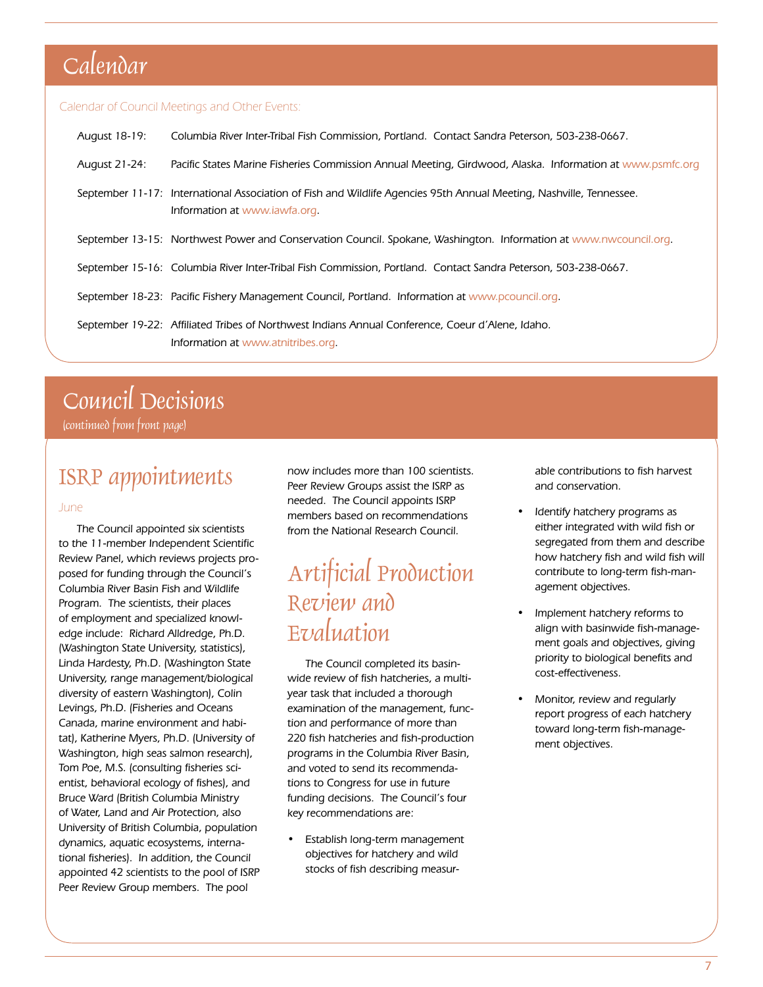# Calendar

#### Calendar of Council Meetings and Other Events:

| August 18-19: | Columbia River Inter-Tribal Fish Commission, Portland. Contact Sandra Peterson, 503-238-0667.                                                        |
|---------------|------------------------------------------------------------------------------------------------------------------------------------------------------|
| August 21-24: | Pacific States Marine Fisheries Commission Annual Meeting, Girdwood, Alaska. Information at www.psmfc.org                                            |
|               | September 11-17: International Association of Fish and Wildlife Agencies 95th Annual Meeting, Nashville, Tennessee.<br>Information at www.iawfa.org. |
|               | September 13-15: Northwest Power and Conservation Council. Spokane, Washington. Information at www.nwcouncil.org.                                    |
|               | September 15-16: Columbia River Inter-Tribal Fish Commission, Portland. Contact Sandra Peterson, 503-238-0667.                                       |
|               | September 18-23: Pacific Fishery Management Council, Portland. Information at www.pcouncil.org.                                                      |
|               | September 19-22: Affiliated Tribes of Northwest Indians Annual Conference, Coeur d'Alene, Idaho.<br>Information at www.atnitribes.org.               |

# Council Decisions

(continued from front page)

## ISRP appointments

#### June

The Council appointed six scientists to the 11-member Independent Scientific Review Panel, which reviews projects proposed for funding through the Council's Columbia River Basin Fish and Wildlife Program. The scientists, their places of employment and specialized knowledge include: Richard Alldredge, Ph.D. (Washington State University, statistics), Linda Hardesty, Ph.D. (Washington State University, range management/biological diversity of eastern Washington), Colin Levings, Ph.D. (Fisheries and Oceans Canada, marine environment and habitat), Katherine Myers, Ph.D. (University of Washington, high seas salmon research), Tom Poe, M.S. (consulting fisheries scientist, behavioral ecology of fishes), and Bruce Ward (British Columbia Ministry of Water, Land and Air Protection, also University of British Columbia, population dynamics, aquatic ecosystems, international fisheries). In addition, the Council appointed 42 scientists to the pool of ISRP Peer Review Group members. The pool

now includes more than 100 scientists. Peer Review Groups assist the ISRP as needed. The Council appoints ISRP members based on recommendations from the National Research Council.

# Artificial Production Review and Evaluation

The Council completed its basinwide review of fish hatcheries, a multiyear task that included a thorough examination of the management, function and performance of more than 220 fish hatcheries and fish-production programs in the Columbia River Basin, and voted to send its recommendations to Congress for use in future funding decisions. The Council's four key recommendations are:

• Establish long-term management objectives for hatchery and wild stocks of fish describing measur-

able contributions to fish harvest and conservation.

- Identify hatchery programs as either integrated with wild fish or segregated from them and describe how hatchery fish and wild fish will contribute to long-term fish-management objectives.
- Implement hatchery reforms to align with basinwide fish-management goals and objectives, giving priority to biological benefits and cost-effectiveness.
- Monitor, review and regularly report progress of each hatchery toward long-term fish-management objectives.